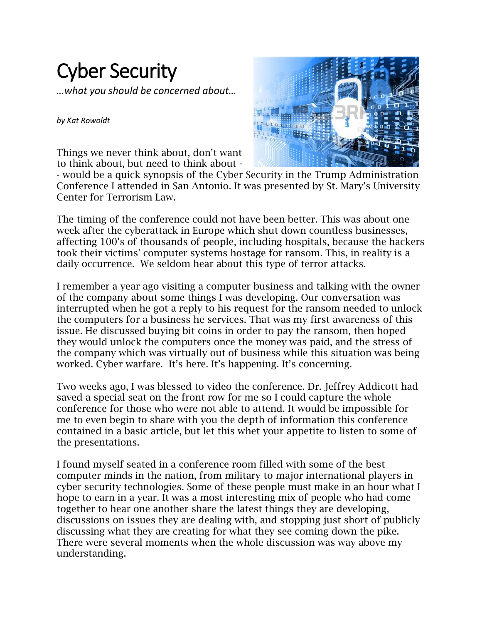## Cyber Security

*…what you should be concerned about…*

*by Kat Rowoldt*

Things we never think about, don't want to think about, but need to think about -



- would be a quick synopsis of the Cyber Security in the Trump Administration Conference I attended in San Antonio. It was presented by St. Mary's University Center for Terrorism Law.

The timing of the conference could not have been better. This was about one week after the cyberattack in Europe which shut down countless businesses, affecting 100's of thousands of people, including hospitals, because the hackers took their victims' computer systems hostage for ransom. This, in reality is a daily occurrence. We seldom hear about this type of terror attacks.

I remember a year ago visiting a computer business and talking with the owner of the company about some things I was developing. Our conversation was interrupted when he got a reply to his request for the ransom needed to unlock the computers for a business he services. That was my first awareness of this issue. He discussed buying bit coins in order to pay the ransom, then hoped they would unlock the computers once the money was paid, and the stress of the company which was virtually out of business while this situation was being worked. Cyber warfare. It's here. It's happening. It's concerning.

Two weeks ago, I was blessed to video the conference. Dr. Jeffrey Addicott had saved a special seat on the front row for me so I could capture the whole conference for those who were not able to attend. It would be impossible for me to even begin to share with you the depth of information this conference contained in a basic article, but let this whet your appetite to listen to some of the presentations.

I found myself seated in a conference room filled with some of the best computer minds in the nation, from military to major international players in cyber security technologies. Some of these people must make in an hour what I hope to earn in a year. It was a most interesting mix of people who had come together to hear one another share the latest things they are developing, discussions on issues they are dealing with, and stopping just short of publicly discussing what they are creating for what they see coming down the pike. There were several moments when the whole discussion was way above my understanding.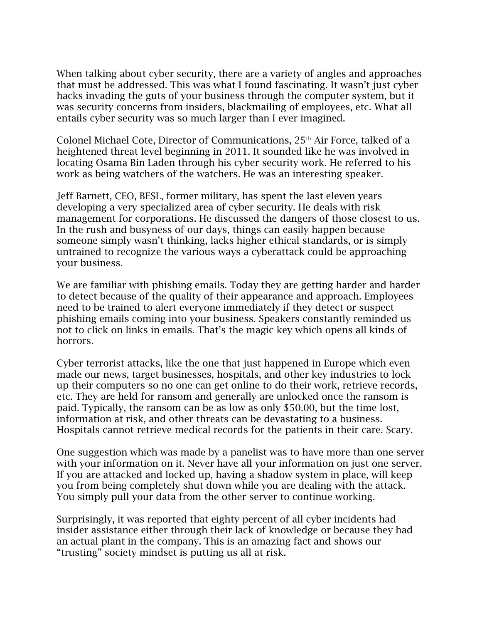When talking about cyber security, there are a variety of angles and approaches that must be addressed. This was what I found fascinating. It wasn't just cyber hacks invading the guts of your business through the computer system, but it was security concerns from insiders, blackmailing of employees, etc. What all entails cyber security was so much larger than I ever imagined.

Colonel Michael Cote, Director of Communications, 25<sup>th</sup> Air Force, talked of a heightened threat level beginning in 2011. It sounded like he was involved in locating Osama Bin Laden through his cyber security work. He referred to his work as being watchers of the watchers. He was an interesting speaker.

Jeff Barnett, CEO, BESL, former military, has spent the last eleven years developing a very specialized area of cyber security. He deals with risk management for corporations. He discussed the dangers of those closest to us. In the rush and busyness of our days, things can easily happen because someone simply wasn't thinking, lacks higher ethical standards, or is simply untrained to recognize the various ways a cyberattack could be approaching your business.

We are familiar with phishing emails. Today they are getting harder and harder to detect because of the quality of their appearance and approach. Employees need to be trained to alert everyone immediately if they detect or suspect phishing emails coming into your business. Speakers constantly reminded us not to click on links in emails. That's the magic key which opens all kinds of horrors.

Cyber terrorist attacks, like the one that just happened in Europe which even made our news, target businesses, hospitals, and other key industries to lock up their computers so no one can get online to do their work, retrieve records, etc. They are held for ransom and generally are unlocked once the ransom is paid. Typically, the ransom can be as low as only \$50.00, but the time lost, information at risk, and other threats can be devastating to a business. Hospitals cannot retrieve medical records for the patients in their care. Scary.

One suggestion which was made by a panelist was to have more than one server with your information on it. Never have all your information on just one server. If you are attacked and locked up, having a shadow system in place, will keep you from being completely shut down while you are dealing with the attack. You simply pull your data from the other server to continue working.

Surprisingly, it was reported that eighty percent of all cyber incidents had insider assistance either through their lack of knowledge or because they had an actual plant in the company. This is an amazing fact and shows our "trusting" society mindset is putting us all at risk.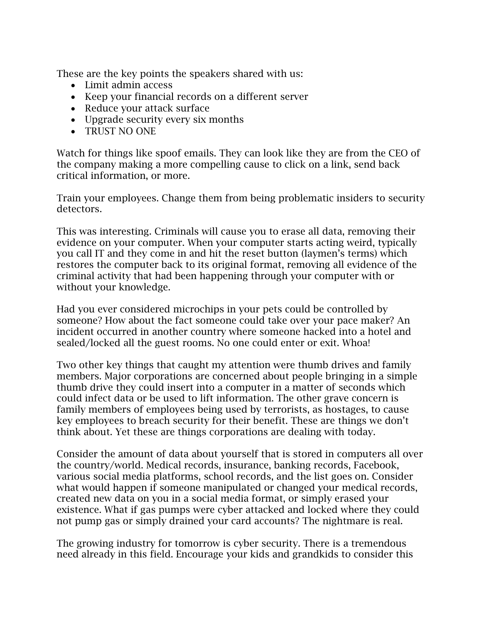These are the key points the speakers shared with us:

- Limit admin access
- Keep your financial records on a different server
- Reduce your attack surface
- Upgrade security every six months
- TRUST NO ONE

Watch for things like spoof emails. They can look like they are from the CEO of the company making a more compelling cause to click on a link, send back critical information, or more.

Train your employees. Change them from being problematic insiders to security detectors.

This was interesting. Criminals will cause you to erase all data, removing their evidence on your computer. When your computer starts acting weird, typically you call IT and they come in and hit the reset button (laymen's terms) which restores the computer back to its original format, removing all evidence of the criminal activity that had been happening through your computer with or without your knowledge.

Had you ever considered microchips in your pets could be controlled by someone? How about the fact someone could take over your pace maker? An incident occurred in another country where someone hacked into a hotel and sealed/locked all the guest rooms. No one could enter or exit. Whoa!

Two other key things that caught my attention were thumb drives and family members. Major corporations are concerned about people bringing in a simple thumb drive they could insert into a computer in a matter of seconds which could infect data or be used to lift information. The other grave concern is family members of employees being used by terrorists, as hostages, to cause key employees to breach security for their benefit. These are things we don't think about. Yet these are things corporations are dealing with today.

Consider the amount of data about yourself that is stored in computers all over the country/world. Medical records, insurance, banking records, Facebook, various social media platforms, school records, and the list goes on. Consider what would happen if someone manipulated or changed your medical records, created new data on you in a social media format, or simply erased your existence. What if gas pumps were cyber attacked and locked where they could not pump gas or simply drained your card accounts? The nightmare is real.

The growing industry for tomorrow is cyber security. There is a tremendous need already in this field. Encourage your kids and grandkids to consider this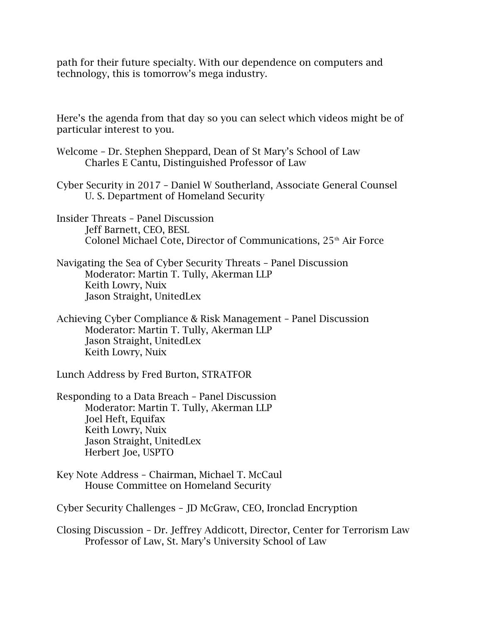path for their future specialty. With our dependence on computers and technology, this is tomorrow's mega industry.

Here's the agenda from that day so you can select which videos might be of particular interest to you.

- Welcome Dr. Stephen Sheppard, Dean of St Mary's School of Law Charles E Cantu, Distinguished Professor of Law
- Cyber Security in 2017 Daniel W Southerland, Associate General Counsel U. S. Department of Homeland Security
- Insider Threats Panel Discussion Jeff Barnett, CEO, BESL Colonel Michael Cote, Director of Communications, 25<sup>th</sup> Air Force
- Navigating the Sea of Cyber Security Threats Panel Discussion Moderator: Martin T. Tully, Akerman LLP Keith Lowry, Nuix Jason Straight, UnitedLex
- Achieving Cyber Compliance & Risk Management Panel Discussion Moderator: Martin T. Tully, Akerman LLP Jason Straight, UnitedLex Keith Lowry, Nuix

Lunch Address by Fred Burton, STRATFOR

Responding to a Data Breach – Panel Discussion Moderator: Martin T. Tully, Akerman LLP Joel Heft, Equifax Keith Lowry, Nuix Jason Straight, UnitedLex Herbert Joe, USPTO

Key Note Address – Chairman, Michael T. McCaul House Committee on Homeland Security

Cyber Security Challenges – JD McGraw, CEO, Ironclad Encryption

Closing Discussion – Dr. Jeffrey Addicott, Director, Center for Terrorism Law Professor of Law, St. Mary's University School of Law